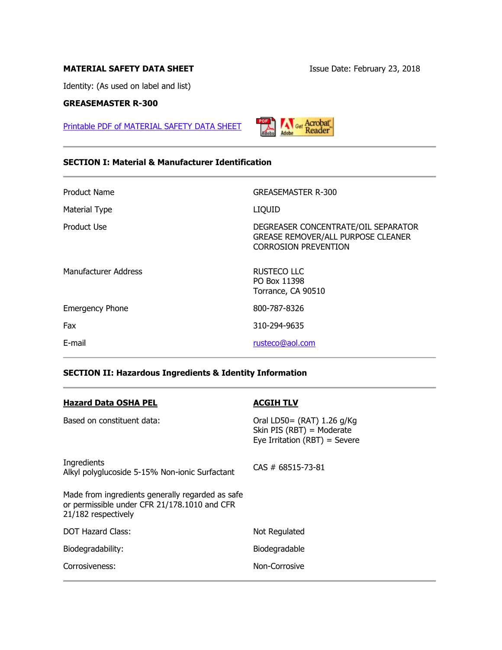# **MATERIAL SAFETY DATA SHEET ISSUE Date: February 23, 2018**

Identity: (As used on label and list)

# **GREASEMASTER R-300**

[Printable PDF of MATERIAL SAFETY DATA SHEET](http://rusteco.com/msdsgreasemaster.pdf)

**Acrobat** 

# **SECTION I: Material & Manufacturer Identification**

| Product Name           | <b>GREASEMASTER R-300</b>                                                                                       |
|------------------------|-----------------------------------------------------------------------------------------------------------------|
| Material Type          | <b>LIQUID</b>                                                                                                   |
| Product Use            | DEGREASER CONCENTRATE/OIL SEPARATOR<br><b>GREASE REMOVER/ALL PURPOSE CLEANER</b><br><b>CORROSION PREVENTION</b> |
| Manufacturer Address   | <b>RUSTECO LLC</b><br>PO Box 11398<br>Torrance, CA 90510                                                        |
| <b>Emergency Phone</b> | 800-787-8326                                                                                                    |
| Fax                    | 310-294-9635                                                                                                    |
| E-mail                 | rusteco@aol.com                                                                                                 |

# **SECTION II: Hazardous Ingredients & Identity Information**

| <b>Hazard Data OSHA PEL</b>                                                                                             | <b>ACGIH TLV</b>                                                                         |
|-------------------------------------------------------------------------------------------------------------------------|------------------------------------------------------------------------------------------|
| Based on constituent data:                                                                                              | Oral LD50= (RAT) 1.26 g/Kg<br>Skin PIS (RBT) = Moderate<br>Eye Irritation (RBT) = Severe |
| Ingredients<br>Alkyl polyglucoside 5-15% Non-ionic Surfactant                                                           | $CAS # 68515-73-81$                                                                      |
| Made from ingredients generally regarded as safe<br>or permissible under CFR 21/178.1010 and CFR<br>21/182 respectively |                                                                                          |
| <b>DOT Hazard Class:</b>                                                                                                | Not Regulated                                                                            |
| Biodegradability:                                                                                                       | Biodegradable                                                                            |
| Corrosiveness:                                                                                                          | Non-Corrosive                                                                            |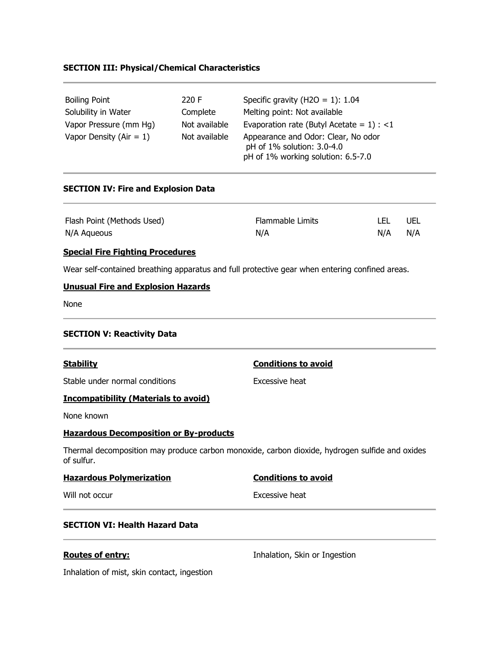# **SECTION III: Physical/Chemical Characteristics**

| <b>Boiling Point</b>                                 | 220 F                          | Specific gravity (H2O = 1): $1.04$                                                                                                                      |
|------------------------------------------------------|--------------------------------|---------------------------------------------------------------------------------------------------------------------------------------------------------|
| Solubility in Water                                  | Complete                       | Melting point: Not available                                                                                                                            |
| Vapor Pressure (mm Hg)<br>Vapor Density (Air $= 1$ ) | Not available<br>Not available | Evaporation rate (Butyl Acetate = $1$ ) : <1<br>Appearance and Odor: Clear, No odor<br>pH of 1% solution: 3.0-4.0<br>pH of 1% working solution: 6.5-7.0 |

#### **SECTION IV: Fire and Explosion Data**

| Flash Point (Methods Used) | Flammable Limits | LEL | UEL |
|----------------------------|------------------|-----|-----|
| N/A Aqueous                | N/A              | N/A | N/A |

#### **Special Fire Fighting Procedures**

Wear self-contained breathing apparatus and full protective gear when entering confined areas.

# **Unusual Fire and Explosion Hazards**

None

# **SECTION V: Reactivity Data**

Stable under normal conditions excessive heat

### **Incompatibility (Materials to avoid)**

None known

### **Hazardous Decomposition or By-products**

Thermal decomposition may produce carbon monoxide, carbon dioxide, hydrogen sulfide and oxides of sulfur.

| <b>Hazardous Polymerization</b> | <b>Conditions to avoid</b> |
|---------------------------------|----------------------------|
| Will not occur                  | Excessive heat             |

# **SECTION VI: Health Hazard Data**

**Routes of entry: Inhalation, Skin or Ingestion** 

Inhalation of mist, skin contact, ingestion

# **Stability Conditions to avoid**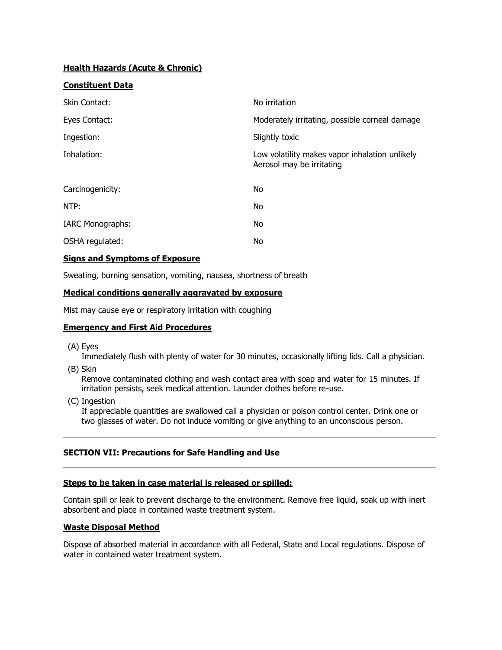# **Health Hazards (Acute & Chronic)**

# **Constituent Data**

| Skin Contact:           | No irritation                                                               |
|-------------------------|-----------------------------------------------------------------------------|
| Eyes Contact:           | Moderately irritating, possible corneal damage                              |
| Ingestion:              | Slightly toxic                                                              |
| Inhalation:             | Low volatility makes vapor inhalation unlikely<br>Aerosol may be irritating |
| Carcinogenicity:        | No                                                                          |
| NTP:                    | <b>No</b>                                                                   |
| <b>IARC Monographs:</b> | No                                                                          |
| OSHA regulated:         | No                                                                          |

### **Signs and Symptoms of Exposure**

Sweating, burning sensation, vomiting, nausea, shortness of breath

# **Medical conditions generally aggravated by exposure**

Mist may cause eye or respiratory irritation with coughing

## **Emergency and First Aid Procedures**

(A) Eyes

Immediately flush with plenty of water for 30 minutes, occasionally lifting lids. Call a physician.

(B) Skin

Remove contaminated clothing and wash contact area with soap and water for 15 minutes. If irritation persists, seek medical attention. Launder clothes before re-use.

(C) Ingestion

If appreciable quantities are swallowed call a physician or poison control center. Drink one or two glasses of water. Do not induce vomiting or give anything to an unconscious person.

# **SECTION VII: Precautions for Safe Handling and Use**

#### **Steps to be taken in case material is released or spilled:**

Contain spill or leak to prevent discharge to the environment. Remove free liquid, soak up with inert absorbent and place in contained waste treatment system.

#### **Waste Disposal Method**

Dispose of absorbed material in accordance with all Federal, State and Local regulations. Dispose of water in contained water treatment system.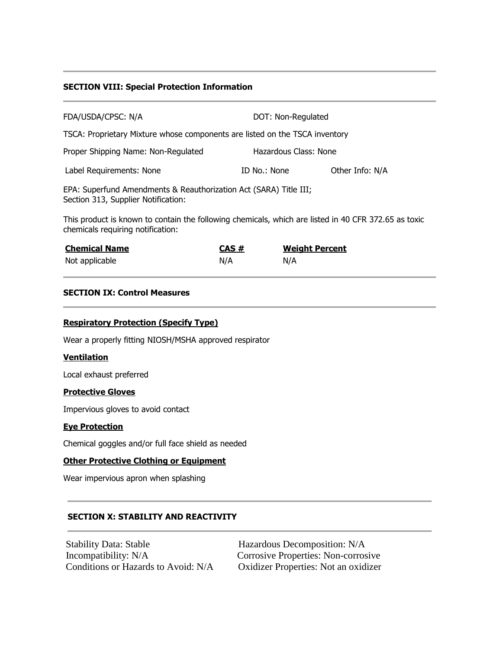### **SECTION VIII: Special Protection Information**

| DOT: Non-Regulated                                                          |                 |  |
|-----------------------------------------------------------------------------|-----------------|--|
| TSCA: Proprietary Mixture whose components are listed on the TSCA inventory |                 |  |
| Hazardous Class: None                                                       |                 |  |
| ID No.: None                                                                | Other Info: N/A |  |
|                                                                             |                 |  |

EPA: Superfund Amendments & Reauthorization Act (SARA) Title III; Section 313, Supplier Notification:

This product is known to contain the following chemicals, which are listed in 40 CFR 372.65 as toxic chemicals requiring notification:

| <b>Chemical Name</b> | CAS# | <b>Weight Percent</b> |
|----------------------|------|-----------------------|
| Not applicable       | N/A  | N/A                   |

### **SECTION IX: Control Measures**

### **Respiratory Protection (Specify Type)**

Wear a properly fitting NIOSH/MSHA approved respirator

#### **Ventilation**

Local exhaust preferred

#### **Protective Gloves**

Impervious gloves to avoid contact

#### **Eye Protection**

Chemical goggles and/or full face shield as needed

# **Other Protective Clothing or Equipment**

Wear impervious apron when splashing

# **SECTION X: STABILITY AND REACTIVITY**

Stability Data: Stable Hazardous Decomposition: N/A Incompatibility: N/A Corrosive Properties: Non-corrosive Conditions or Hazards to Avoid: N/A Oxidizer Properties: Not an oxidizer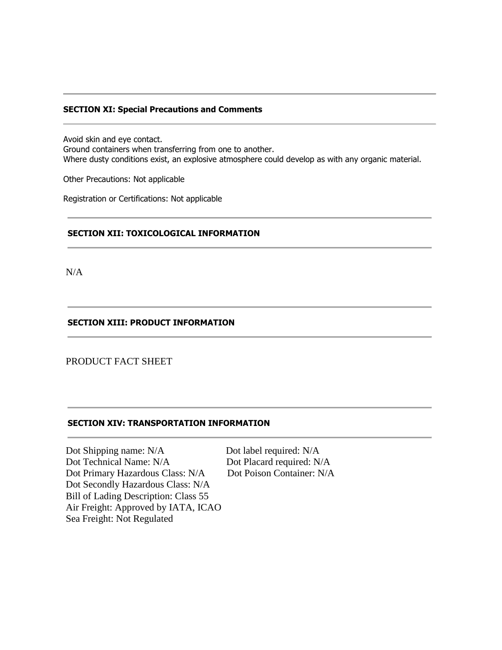### **SECTION XI: Special Precautions and Comments**

Avoid skin and eye contact. Ground containers when transferring from one to another. Where dusty conditions exist, an explosive atmosphere could develop as with any organic material.

Other Precautions: Not applicable

Registration or Certifications: Not applicable

#### **SECTION XII: TOXICOLOGICAL INFORMATION**

N/A

## **SECTION XIII: PRODUCT INFORMATION**

# PRODUCT FACT SHEET

#### **SECTION XIV: TRANSPORTATION INFORMATION**

Dot Shipping name: N/A Dot label required: N/A Dot Technical Name: N/A Dot Placard required: N/A Dot Primary Hazardous Class: N/A Dot Poison Container: N/A Dot Secondly Hazardous Class: N/A Bill of Lading Description: Class 55 Air Freight: Approved by IATA, ICAO Sea Freight: Not Regulated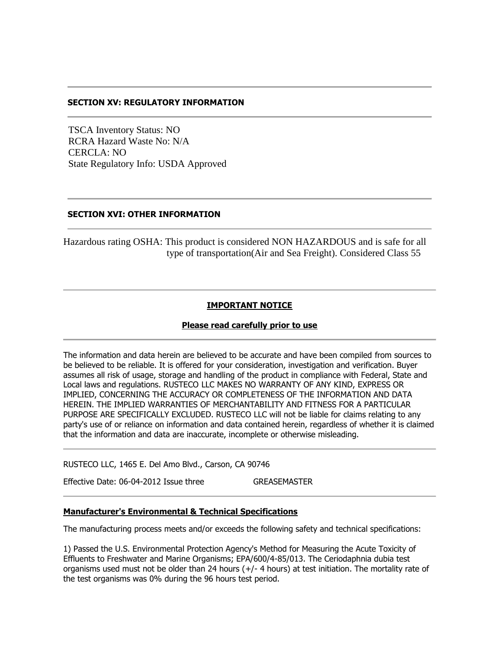### **SECTION XV: REGULATORY INFORMATION**

 TSCA Inventory Status: NO RCRA Hazard Waste No: N/A CERCLA: NO State Regulatory Info: USDA Approved

# **SECTION XVI: OTHER INFORMATION**

Hazardous rating OSHA: This product is considered NON HAZARDOUS and is safe for all type of transportation(Air and Sea Freight). Considered Class 55

### **IMPORTANT NOTICE**

#### **Please read carefully prior to use**

The information and data herein are believed to be accurate and have been compiled from sources to be believed to be reliable. It is offered for your consideration, investigation and verification. Buyer assumes all risk of usage, storage and handling of the product in compliance with Federal, State and Local laws and regulations. RUSTECO LLC MAKES NO WARRANTY OF ANY KIND, EXPRESS OR IMPLIED, CONCERNING THE ACCURACY OR COMPLETENESS OF THE INFORMATION AND DATA HEREIN. THE IMPLIED WARRANTIES OF MERCHANTABILITY AND FITNESS FOR A PARTICULAR PURPOSE ARE SPECIFICALLY EXCLUDED. RUSTECO LLC will not be liable for claims relating to any party's use of or reliance on information and data contained herein, regardless of whether it is claimed that the information and data are inaccurate, incomplete or otherwise misleading.

RUSTECO LLC, 1465 E. Del Amo Blvd., Carson, CA 90746

Effective Date: 06-04-2012 Issue three GREASEMASTER

#### **Manufacturer's Environmental & Technical Specifications**

The manufacturing process meets and/or exceeds the following safety and technical specifications:

1) Passed the U.S. Environmental Protection Agency's Method for Measuring the Acute Toxicity of Effluents to Freshwater and Marine Organisms; EPA/600/4-85/013. The Ceriodaphnia dubia test organisms used must not be older than 24 hours (+/- 4 hours) at test initiation. The mortality rate of the test organisms was 0% during the 96 hours test period.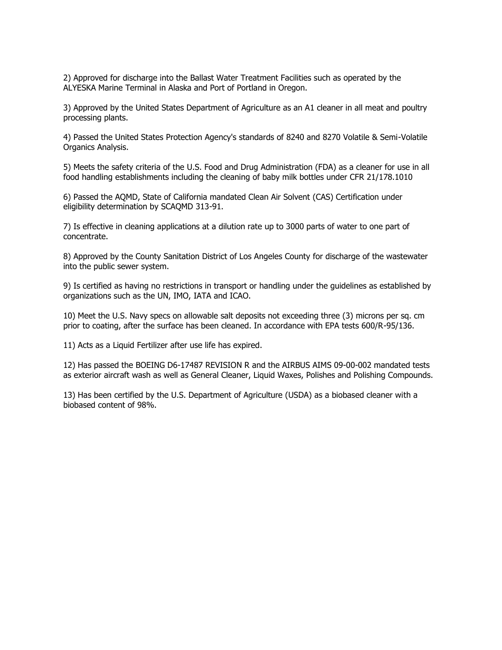2) Approved for discharge into the Ballast Water Treatment Facilities such as operated by the ALYESKA Marine Terminal in Alaska and Port of Portland in Oregon.

3) Approved by the United States Department of Agriculture as an A1 cleaner in all meat and poultry processing plants.

4) Passed the United States Protection Agency's standards of 8240 and 8270 Volatile & Semi-Volatile Organics Analysis.

5) Meets the safety criteria of the U.S. Food and Drug Administration (FDA) as a cleaner for use in all food handling establishments including the cleaning of baby milk bottles under CFR 21/178.1010

6) Passed the AQMD, State of California mandated Clean Air Solvent (CAS) Certification under eligibility determination by SCAQMD 313-91.

7) Is effective in cleaning applications at a dilution rate up to 3000 parts of water to one part of concentrate.

8) Approved by the County Sanitation District of Los Angeles County for discharge of the wastewater into the public sewer system.

9) Is certified as having no restrictions in transport or handling under the guidelines as established by organizations such as the UN, IMO, IATA and ICAO.

10) Meet the U.S. Navy specs on allowable salt deposits not exceeding three (3) microns per sq. cm prior to coating, after the surface has been cleaned. In accordance with EPA tests 600/R-95/136.

11) Acts as a Liquid Fertilizer after use life has expired.

12) Has passed the BOEING D6-17487 REVISION R and the AIRBUS AIMS 09-00-002 mandated tests as exterior aircraft wash as well as General Cleaner, Liquid Waxes, Polishes and Polishing Compounds.

13) Has been certified by the U.S. Department of Agriculture (USDA) as a biobased cleaner with a biobased content of 98%.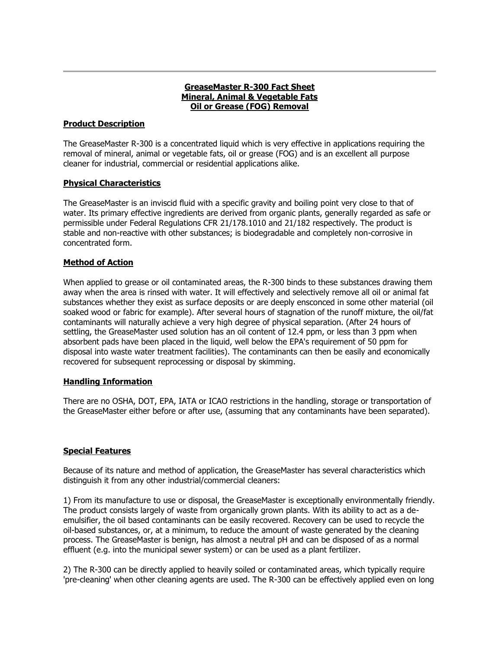# **GreaseMaster R-300 Fact Sheet Mineral, Animal & Vegetable Fats Oil or Grease (FOG) Removal**

# **Product Description**

The GreaseMaster R-300 is a concentrated liquid which is very effective in applications requiring the removal of mineral, animal or vegetable fats, oil or grease (FOG) and is an excellent all purpose cleaner for industrial, commercial or residential applications alike.

# **Physical Characteristics**

The GreaseMaster is an inviscid fluid with a specific gravity and boiling point very close to that of water. Its primary effective ingredients are derived from organic plants, generally regarded as safe or permissible under Federal Regulations CFR 21/178.1010 and 21/182 respectively. The product is stable and non-reactive with other substances; is biodegradable and completely non-corrosive in concentrated form.

# **Method of Action**

When applied to grease or oil contaminated areas, the R-300 binds to these substances drawing them away when the area is rinsed with water. It will effectively and selectively remove all oil or animal fat substances whether they exist as surface deposits or are deeply ensconced in some other material (oil soaked wood or fabric for example). After several hours of stagnation of the runoff mixture, the oil/fat contaminants will naturally achieve a very high degree of physical separation. (After 24 hours of settling, the GreaseMaster used solution has an oil content of 12.4 ppm, or less than 3 ppm when absorbent pads have been placed in the liquid, well below the EPA's requirement of 50 ppm for disposal into waste water treatment facilities). The contaminants can then be easily and economically recovered for subsequent reprocessing or disposal by skimming.

# **Handling Information**

There are no OSHA, DOT, EPA, IATA or ICAO restrictions in the handling, storage or transportation of the GreaseMaster either before or after use, (assuming that any contaminants have been separated).

# **Special Features**

Because of its nature and method of application, the GreaseMaster has several characteristics which distinguish it from any other industrial/commercial cleaners:

1) From its manufacture to use or disposal, the GreaseMaster is exceptionally environmentally friendly. The product consists largely of waste from organically grown plants. With its ability to act as a deemulsifier, the oil based contaminants can be easily recovered. Recovery can be used to recycle the oil-based substances, or, at a minimum, to reduce the amount of waste generated by the cleaning process. The GreaseMaster is benign, has almost a neutral pH and can be disposed of as a normal effluent (e.g. into the municipal sewer system) or can be used as a plant fertilizer.

2) The R-300 can be directly applied to heavily soiled or contaminated areas, which typically require 'pre-cleaning' when other cleaning agents are used. The R-300 can be effectively applied even on long